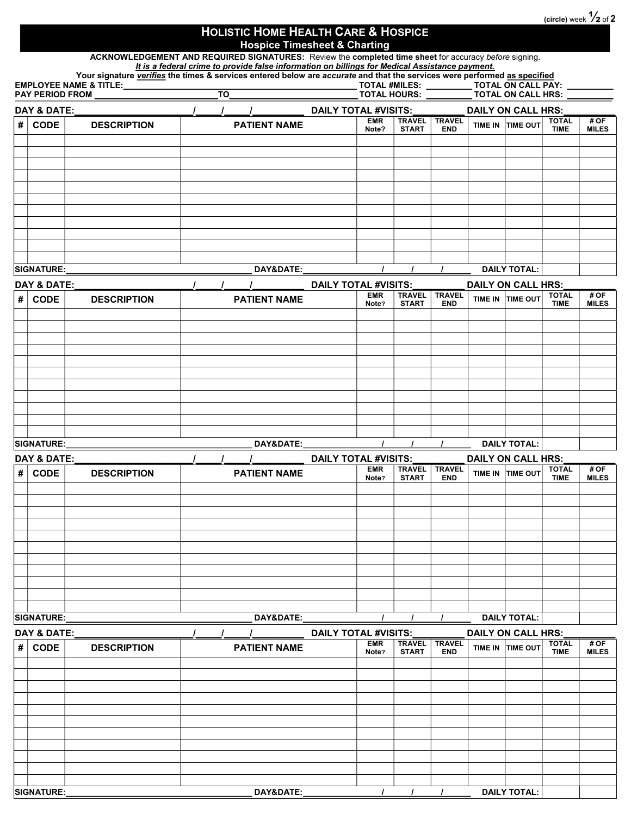(circle) week  $\frac{1}{2}$  of 2

## HOLISTIC HOME HEALTH CARE & HOSPICE Hospice Timesheet & Charting

ACKNOWLEDGEMENT AND REQUIRED SIGNATURES: Review the completed time sheet for accuracy before signing.

It is a federal crime to provide false information on billings for Medical Assistance payment. Your signature *verifies* the times & services entered below are accurate and that the services were performed <u>as specified</u><br>TOTAL #MILES: \_\_\_\_\_\_\_\_\_\_\_\_ TOTAL ON CALL PA EMPLOYEE NAME & TITLE:\_\_\_\_\_\_\_\_\_\_\_\_\_\_\_\_\_\_\_\_\_\_\_\_\_\_\_\_\_\_\_\_\_\_\_\_\_\_\_\_\_\_\_\_\_\_\_\_\_\_\_ TOTAL #MILES: \_\_\_\_\_\_\_\_\_\_ TOTAL ON CALL PAY: \_\_\_\_\_\_\_\_\_\_ PUTHOM <u>TO PUUTHUM</u><br>\_\_ TOTAL ON CALL PAY:<br>\_\_ TOTAL ON CALL HRS:

| DAY & DATE: |                   |                    |                      | <b>DAILY TOTAL #VISITS:</b> |                               |                             |  | <b>DAILY ON CALL HRS:</b> |                             |                      |  |  |  |
|-------------|-------------------|--------------------|----------------------|-----------------------------|-------------------------------|-----------------------------|--|---------------------------|-----------------------------|----------------------|--|--|--|
| $\#$        | <b>CODE</b>       | <b>DESCRIPTION</b> | <b>PATIENT NAME</b>  | <b>EMR</b><br>Note?         | <b>TRAVEL</b><br><b>START</b> | <b>TRAVEL</b><br><b>END</b> |  | TIME IN TIME OUT          | <b>TOTAL</b><br><b>TIME</b> | # OF<br><b>MILES</b> |  |  |  |
|             |                   |                    |                      |                             |                               |                             |  |                           |                             |                      |  |  |  |
|             |                   |                    |                      |                             |                               |                             |  |                           |                             |                      |  |  |  |
|             |                   |                    |                      |                             |                               |                             |  |                           |                             |                      |  |  |  |
|             |                   |                    |                      |                             |                               |                             |  |                           |                             |                      |  |  |  |
|             |                   |                    |                      |                             |                               |                             |  |                           |                             |                      |  |  |  |
|             |                   |                    |                      |                             |                               |                             |  |                           |                             |                      |  |  |  |
|             |                   |                    |                      |                             |                               |                             |  |                           |                             |                      |  |  |  |
|             |                   |                    |                      |                             |                               |                             |  |                           |                             |                      |  |  |  |
|             |                   |                    |                      |                             |                               |                             |  |                           |                             |                      |  |  |  |
|             |                   |                    |                      |                             |                               |                             |  |                           |                             |                      |  |  |  |
|             |                   |                    |                      |                             |                               |                             |  |                           |                             |                      |  |  |  |
|             | <b>SIGNATURE:</b> |                    | <b>DAY&amp;DATE:</b> |                             |                               |                             |  | <b>DAILY TOTAL:</b>       |                             |                      |  |  |  |

|   | <b>DAY &amp; DATE:</b> |                    | <b>DAILY TOTAL #VISITS:</b> |                     |                               |                             |  | <b>DAILY ON CALL HRS:</b> |                             |                      |  |  |
|---|------------------------|--------------------|-----------------------------|---------------------|-------------------------------|-----------------------------|--|---------------------------|-----------------------------|----------------------|--|--|
| # | <b>CODE</b>            | <b>DESCRIPTION</b> | <b>PATIENT NAME</b>         | <b>EMR</b><br>Note? | <b>TRAVEL</b><br><b>START</b> | <b>TRAVEL</b><br><b>END</b> |  | TIME IN TIME OUT          | <b>TOTAL</b><br><b>TIME</b> | # OF<br><b>MILES</b> |  |  |
|   |                        |                    |                             |                     |                               |                             |  |                           |                             |                      |  |  |
|   |                        |                    |                             |                     |                               |                             |  |                           |                             |                      |  |  |
|   |                        |                    |                             |                     |                               |                             |  |                           |                             |                      |  |  |
|   |                        |                    |                             |                     |                               |                             |  |                           |                             |                      |  |  |
|   |                        |                    |                             |                     |                               |                             |  |                           |                             |                      |  |  |
|   |                        |                    |                             |                     |                               |                             |  |                           |                             |                      |  |  |
|   |                        |                    |                             |                     |                               |                             |  |                           |                             |                      |  |  |
|   |                        |                    |                             |                     |                               |                             |  |                           |                             |                      |  |  |
|   |                        |                    |                             |                     |                               |                             |  |                           |                             |                      |  |  |
|   |                        |                    |                             |                     |                               |                             |  |                           |                             |                      |  |  |
|   |                        |                    |                             |                     |                               |                             |  |                           |                             |                      |  |  |
|   | <b>SIGNATURE:</b>      |                    | <b>DAY&amp;DATE:</b>        |                     |                               |                             |  | <b>DAILY TOTAL:</b>       |                             |                      |  |  |
|   |                        |                    |                             |                     |                               |                             |  |                           |                             |                      |  |  |

| DAY & DATE: |             |                    | <b>DAILY TOTAL #VISITS:</b> |                     |                               |                             |  | <b>DAILY ON CALL HRS:</b> |                             |                      |  |  |
|-------------|-------------|--------------------|-----------------------------|---------------------|-------------------------------|-----------------------------|--|---------------------------|-----------------------------|----------------------|--|--|
| #           | <b>CODE</b> | <b>DESCRIPTION</b> | <b>PATIENT NAME</b>         | <b>EMR</b><br>Note? | <b>TRAVEL</b><br><b>START</b> | <b>TRAVEL</b><br><b>END</b> |  | TIME IN TIME OUT          | <b>TOTAL</b><br><b>TIME</b> | # OF<br><b>MILES</b> |  |  |
|             |             |                    |                             |                     |                               |                             |  |                           |                             |                      |  |  |
|             |             |                    |                             |                     |                               |                             |  |                           |                             |                      |  |  |
|             |             |                    |                             |                     |                               |                             |  |                           |                             |                      |  |  |
|             |             |                    |                             |                     |                               |                             |  |                           |                             |                      |  |  |
|             |             |                    |                             |                     |                               |                             |  |                           |                             |                      |  |  |
|             |             |                    |                             |                     |                               |                             |  |                           |                             |                      |  |  |
|             |             |                    |                             |                     |                               |                             |  |                           |                             |                      |  |  |
|             |             |                    |                             |                     |                               |                             |  |                           |                             |                      |  |  |
|             |             |                    |                             |                     |                               |                             |  |                           |                             |                      |  |  |
|             |             |                    |                             |                     |                               |                             |  |                           |                             |                      |  |  |
|             |             |                    |                             |                     |                               |                             |  |                           |                             |                      |  |  |
|             | SIGNATURE:  |                    | DAY&DATE:                   |                     |                               |                             |  | <b>DAILY TOTAL:</b>       |                             |                      |  |  |

|   | DAY & DATE:       |                    | <b>DAILY TOTAL #VISITS:</b> |                     |                               |                             | DAILY ON CALL HRS:  |                             |                      |
|---|-------------------|--------------------|-----------------------------|---------------------|-------------------------------|-----------------------------|---------------------|-----------------------------|----------------------|
| # | <b>CODE</b>       | <b>DESCRIPTION</b> | <b>PATIENT NAME</b>         | <b>EMR</b><br>Note? | <b>TRAVEL</b><br><b>START</b> | <b>TRAVEL</b><br><b>END</b> | TIME IN TIME OUT    | <b>TOTAL</b><br><b>TIME</b> | # OF<br><b>MILES</b> |
|   |                   |                    |                             |                     |                               |                             |                     |                             |                      |
|   |                   |                    |                             |                     |                               |                             |                     |                             |                      |
|   |                   |                    |                             |                     |                               |                             |                     |                             |                      |
|   |                   |                    |                             |                     |                               |                             |                     |                             |                      |
|   |                   |                    |                             |                     |                               |                             |                     |                             |                      |
|   |                   |                    |                             |                     |                               |                             |                     |                             |                      |
|   |                   |                    |                             |                     |                               |                             |                     |                             |                      |
|   |                   |                    |                             |                     |                               |                             |                     |                             |                      |
|   |                   |                    |                             |                     |                               |                             |                     |                             |                      |
|   |                   |                    |                             |                     |                               |                             |                     |                             |                      |
|   |                   |                    |                             |                     |                               |                             |                     |                             |                      |
|   | <b>SIGNATURE:</b> |                    | DAY&DATE:                   |                     |                               |                             | <b>DAILY TOTAL:</b> |                             |                      |